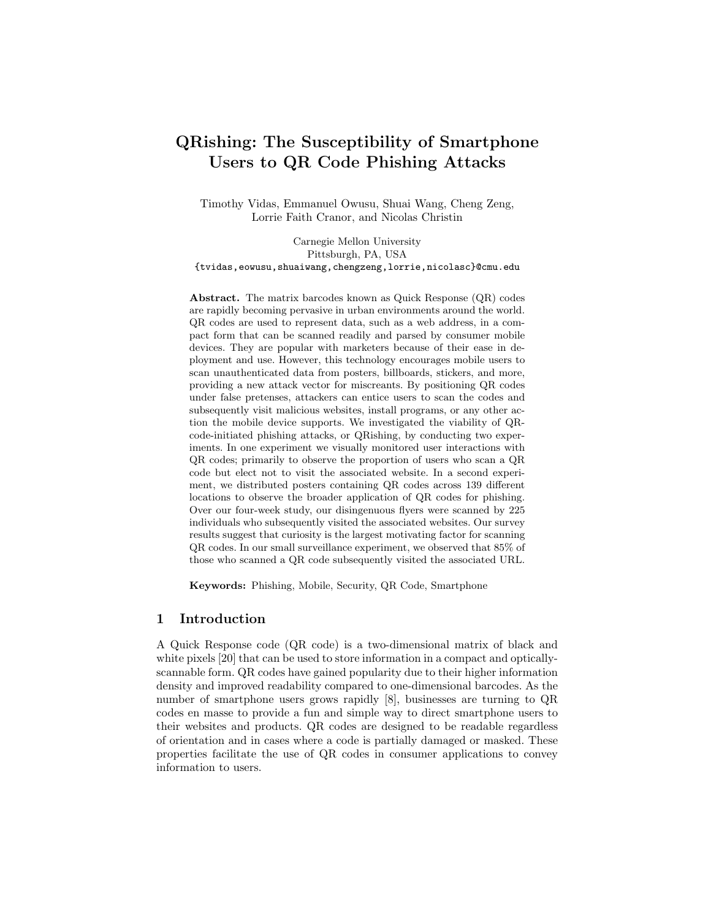# QRishing: The Susceptibility of Smartphone Users to QR Code Phishing Attacks

Timothy Vidas, Emmanuel Owusu, Shuai Wang, Cheng Zeng, Lorrie Faith Cranor, and Nicolas Christin

Carnegie Mellon University Pittsburgh, PA, USA {tvidas,eowusu,shuaiwang,chengzeng,lorrie,nicolasc}@cmu.edu

Abstract. The matrix barcodes known as Quick Response (QR) codes are rapidly becoming pervasive in urban environments around the world. QR codes are used to represent data, such as a web address, in a compact form that can be scanned readily and parsed by consumer mobile devices. They are popular with marketers because of their ease in deployment and use. However, this technology encourages mobile users to scan unauthenticated data from posters, billboards, stickers, and more, providing a new attack vector for miscreants. By positioning QR codes under false pretenses, attackers can entice users to scan the codes and subsequently visit malicious websites, install programs, or any other action the mobile device supports. We investigated the viability of QRcode-initiated phishing attacks, or QRishing, by conducting two experiments. In one experiment we visually monitored user interactions with QR codes; primarily to observe the proportion of users who scan a QR code but elect not to visit the associated website. In a second experiment, we distributed posters containing QR codes across 139 different locations to observe the broader application of QR codes for phishing. Over our four-week study, our disingenuous flyers were scanned by 225 individuals who subsequently visited the associated websites. Our survey results suggest that curiosity is the largest motivating factor for scanning QR codes. In our small surveillance experiment, we observed that 85% of those who scanned a QR code subsequently visited the associated URL.

Keywords: Phishing, Mobile, Security, QR Code, Smartphone

## 1 Introduction

A Quick Response code (QR code) is a two-dimensional matrix of black and white pixels [20] that can be used to store information in a compact and opticallyscannable form. QR codes have gained popularity due to their higher information density and improved readability compared to one-dimensional barcodes. As the number of smartphone users grows rapidly [8], businesses are turning to QR codes en masse to provide a fun and simple way to direct smartphone users to their websites and products. QR codes are designed to be readable regardless of orientation and in cases where a code is partially damaged or masked. These properties facilitate the use of QR codes in consumer applications to convey information to users.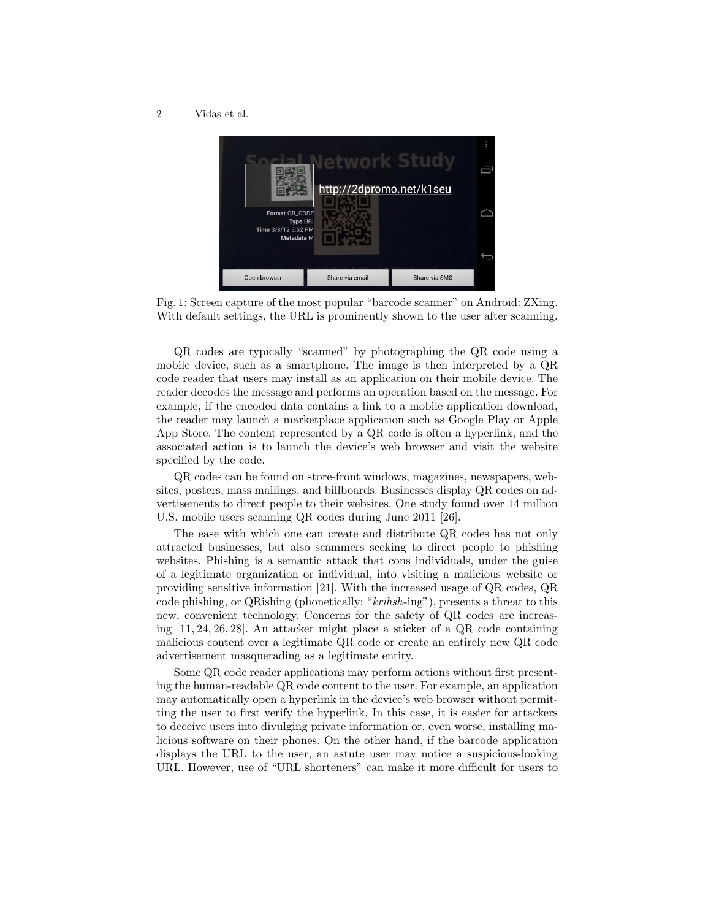



QR codes are typically "scanned" by photographing the QR code using a mobile device, such as a smartphone. The image is then interpreted by a QR code reader that users may install as an application on their mobile device. The reader decodes the message and performs an operation based on the message. For example, if the encoded data contains a link to a mobile application download, the reader may launch a marketplace application such as Google Play or Apple App Store. The content represented by a QR code is often a hyperlink, and the associated action is to launch the device's web browser and visit the website specified by the code.

QR codes can be found on store-front windows, magazines, newspapers, websites, posters, mass mailings, and billboards. Businesses display QR codes on advertisements to direct people to their websites. One study found over 14 million U.S. mobile users scanning QR codes during June 2011 [26].

The ease with which one can create and distribute QR codes has not only attracted businesses, but also scammers seeking to direct people to phishing websites. Phishing is a semantic attack that cons individuals, under the guise of a legitimate organization or individual, into visiting a malicious website or providing sensitive information [21]. With the increased usage of QR codes, QR code phishing, or QRishing (phonetically: "krihsh-ing"), presents a threat to this new, convenient technology. Concerns for the safety of QR codes are increasing [11, 24, 26, 28]. An attacker might place a sticker of a QR code containing malicious content over a legitimate QR code or create an entirely new QR code advertisement masquerading as a legitimate entity.

Some QR code reader applications may perform actions without first presenting the human-readable QR code content to the user. For example, an application may automatically open a hyperlink in the device's web browser without permitting the user to first verify the hyperlink. In this case, it is easier for attackers to deceive users into divulging private information or, even worse, installing malicious software on their phones. On the other hand, if the barcode application displays the URL to the user, an astute user may notice a suspicious-looking URL. However, use of "URL shorteners" can make it more difficult for users to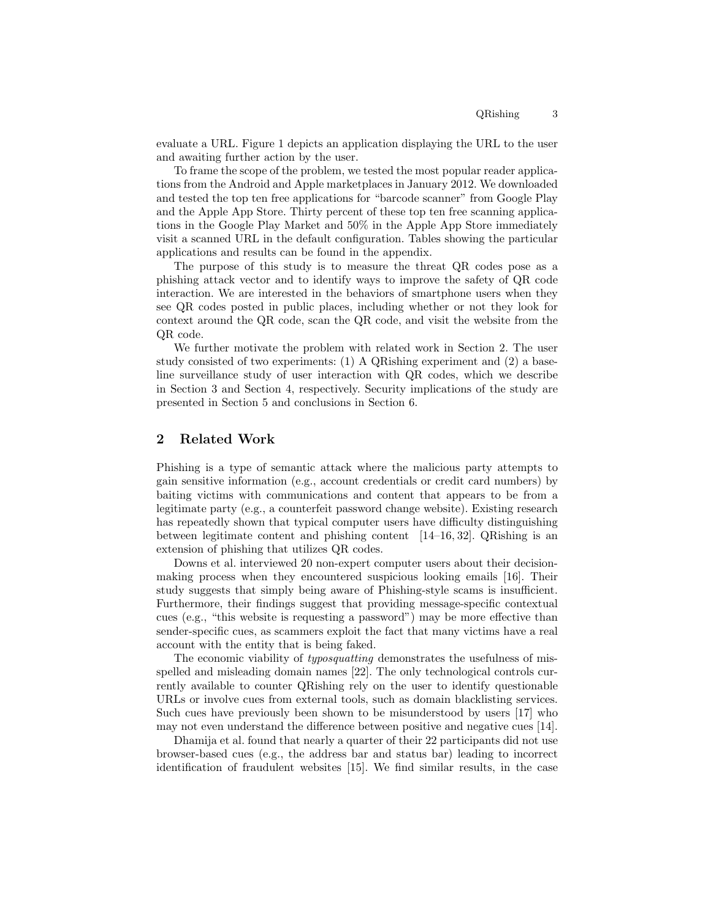evaluate a URL. Figure 1 depicts an application displaying the URL to the user and awaiting further action by the user.

To frame the scope of the problem, we tested the most popular reader applications from the Android and Apple marketplaces in January 2012. We downloaded and tested the top ten free applications for "barcode scanner" from Google Play and the Apple App Store. Thirty percent of these top ten free scanning applications in the Google Play Market and 50% in the Apple App Store immediately visit a scanned URL in the default configuration. Tables showing the particular applications and results can be found in the appendix.

The purpose of this study is to measure the threat QR codes pose as a phishing attack vector and to identify ways to improve the safety of QR code interaction. We are interested in the behaviors of smartphone users when they see QR codes posted in public places, including whether or not they look for context around the QR code, scan the QR code, and visit the website from the QR code.

We further motivate the problem with related work in Section 2. The user study consisted of two experiments: (1) A QRishing experiment and (2) a baseline surveillance study of user interaction with QR codes, which we describe in Section 3 and Section 4, respectively. Security implications of the study are presented in Section 5 and conclusions in Section 6.

## 2 Related Work

Phishing is a type of semantic attack where the malicious party attempts to gain sensitive information (e.g., account credentials or credit card numbers) by baiting victims with communications and content that appears to be from a legitimate party (e.g., a counterfeit password change website). Existing research has repeatedly shown that typical computer users have difficulty distinguishing between legitimate content and phishing content [14–16, 32]. QRishing is an extension of phishing that utilizes QR codes.

Downs et al. interviewed 20 non-expert computer users about their decisionmaking process when they encountered suspicious looking emails [16]. Their study suggests that simply being aware of Phishing-style scams is insufficient. Furthermore, their findings suggest that providing message-specific contextual cues (e.g., "this website is requesting a password") may be more effective than sender-specific cues, as scammers exploit the fact that many victims have a real account with the entity that is being faked.

The economic viability of *typosquatting* demonstrates the usefulness of misspelled and misleading domain names [22]. The only technological controls currently available to counter QRishing rely on the user to identify questionable URLs or involve cues from external tools, such as domain blacklisting services. Such cues have previously been shown to be misunderstood by users [17] who may not even understand the difference between positive and negative cues [14].

Dhamija et al. found that nearly a quarter of their 22 participants did not use browser-based cues (e.g., the address bar and status bar) leading to incorrect identification of fraudulent websites [15]. We find similar results, in the case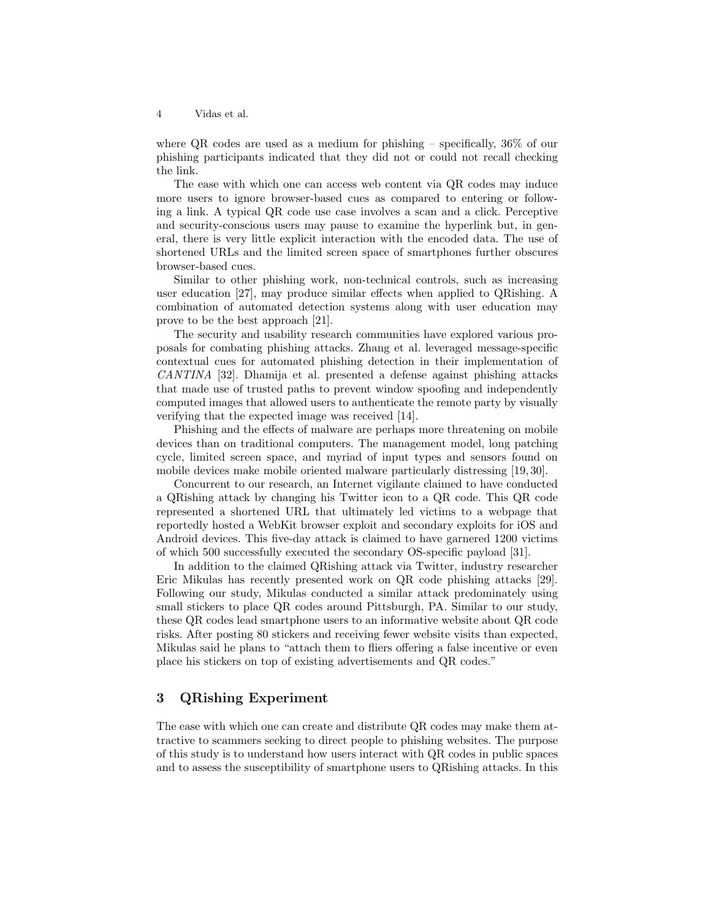where QR codes are used as a medium for phishing – specifically, 36% of our phishing participants indicated that they did not or could not recall checking the link.

The ease with which one can access web content via QR codes may induce more users to ignore browser-based cues as compared to entering or following a link. A typical QR code use case involves a scan and a click. Perceptive and security-conscious users may pause to examine the hyperlink but, in general, there is very little explicit interaction with the encoded data. The use of shortened URLs and the limited screen space of smartphones further obscures browser-based cues.

Similar to other phishing work, non-technical controls, such as increasing user education [27], may produce similar effects when applied to QRishing. A combination of automated detection systems along with user education may prove to be the best approach [21].

The security and usability research communities have explored various proposals for combating phishing attacks. Zhang et al. leveraged message-specific contextual cues for automated phishing detection in their implementation of CANTINA [32]. Dhamija et al. presented a defense against phishing attacks that made use of trusted paths to prevent window spoofing and independently computed images that allowed users to authenticate the remote party by visually verifying that the expected image was received [14].

Phishing and the effects of malware are perhaps more threatening on mobile devices than on traditional computers. The management model, long patching cycle, limited screen space, and myriad of input types and sensors found on mobile devices make mobile oriented malware particularly distressing [19, 30].

Concurrent to our research, an Internet vigilante claimed to have conducted a QRishing attack by changing his Twitter icon to a QR code. This QR code represented a shortened URL that ultimately led victims to a webpage that reportedly hosted a WebKit browser exploit and secondary exploits for iOS and Android devices. This five-day attack is claimed to have garnered 1200 victims of which 500 successfully executed the secondary OS-specific payload [31].

In addition to the claimed QRishing attack via Twitter, industry researcher Eric Mikulas has recently presented work on QR code phishing attacks [29]. Following our study, Mikulas conducted a similar attack predominately using small stickers to place QR codes around Pittsburgh, PA. Similar to our study, these QR codes lead smartphone users to an informative website about QR code risks. After posting 80 stickers and receiving fewer website visits than expected, Mikulas said he plans to "attach them to fliers offering a false incentive or even place his stickers on top of existing advertisements and QR codes."

# 3 QRishing Experiment

The ease with which one can create and distribute QR codes may make them attractive to scammers seeking to direct people to phishing websites. The purpose of this study is to understand how users interact with QR codes in public spaces and to assess the susceptibility of smartphone users to QRishing attacks. In this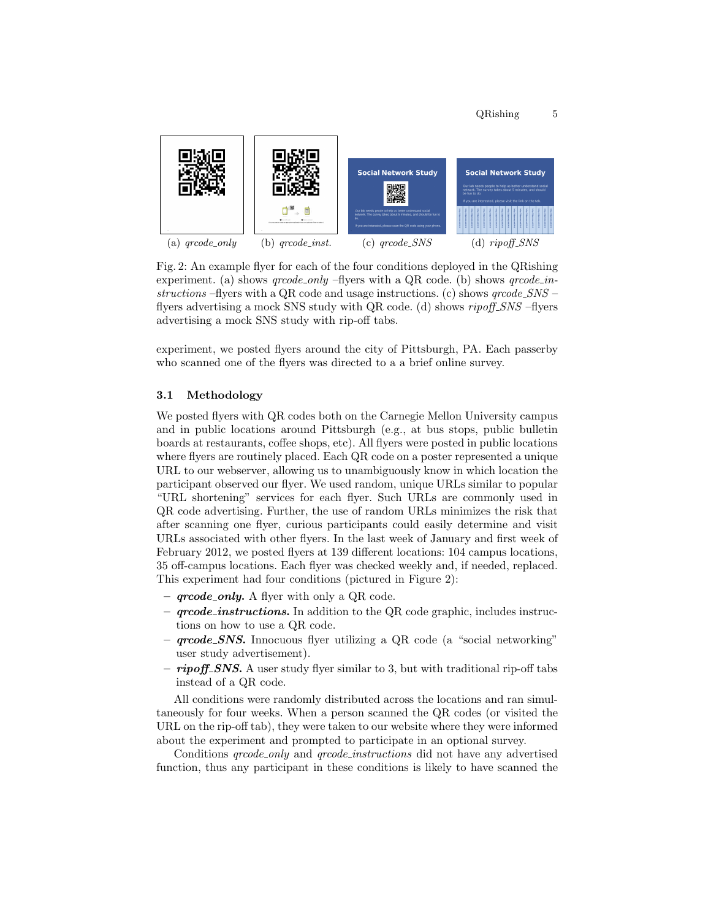

Fig. 2: An example flyer for each of the four conditions deployed in the QRishing experiment. (a) shows  $q\textit{roode\_only}$  –flyers with a QR code. (b) shows  $q\textit{roode\_in}$ structions –flyers with a QR code and usage instructions. (c) shows  $\textit{qreade\_SNS}$  – flyers advertising a mock SNS study with QR code. (d) shows  $ripoff\_SNS$  –flyers advertising a mock SNS study with rip-off tabs.

experiment, we posted flyers around the city of Pittsburgh, PA. Each passerby who scanned one of the flyers was directed to a a brief online survey.

#### 3.1 Methodology

We posted flyers with QR codes both on the Carnegie Mellon University campus and in public locations around Pittsburgh (e.g., at bus stops, public bulletin boards at restaurants, coffee shops, etc). All flyers were posted in public locations where flyers are routinely placed. Each QR code on a poster represented a unique URL to our webserver, allowing us to unambiguously know in which location the participant observed our flyer. We used random, unique URLs similar to popular "URL shortening" services for each flyer. Such URLs are commonly used in QR code advertising. Further, the use of random URLs minimizes the risk that after scanning one flyer, curious participants could easily determine and visit URLs associated with other flyers. In the last week of January and first week of February 2012, we posted flyers at 139 different locations: 104 campus locations, 35 off-campus locations. Each flyer was checked weekly and, if needed, replaced. This experiment had four conditions (pictured in Figure 2):

- $q \text{rode\_only.}$  A flyer with only a QR code.
- $-$  qrcode instructions. In addition to the QR code graphic, includes instructions on how to use a QR code.
- $-$  **qrcode SNS.** Innocuous flyer utilizing a QR code (a "social networking" user study advertisement).
- $-$  ripoff SNS. A user study flyer similar to 3, but with traditional rip-off tabs instead of a QR code.

All conditions were randomly distributed across the locations and ran simultaneously for four weeks. When a person scanned the QR codes (or visited the URL on the rip-off tab), they were taken to our website where they were informed about the experiment and prompted to participate in an optional survey.

Conditions *groode\_only* and *groode\_instructions* did not have any advertised function, thus any participant in these conditions is likely to have scanned the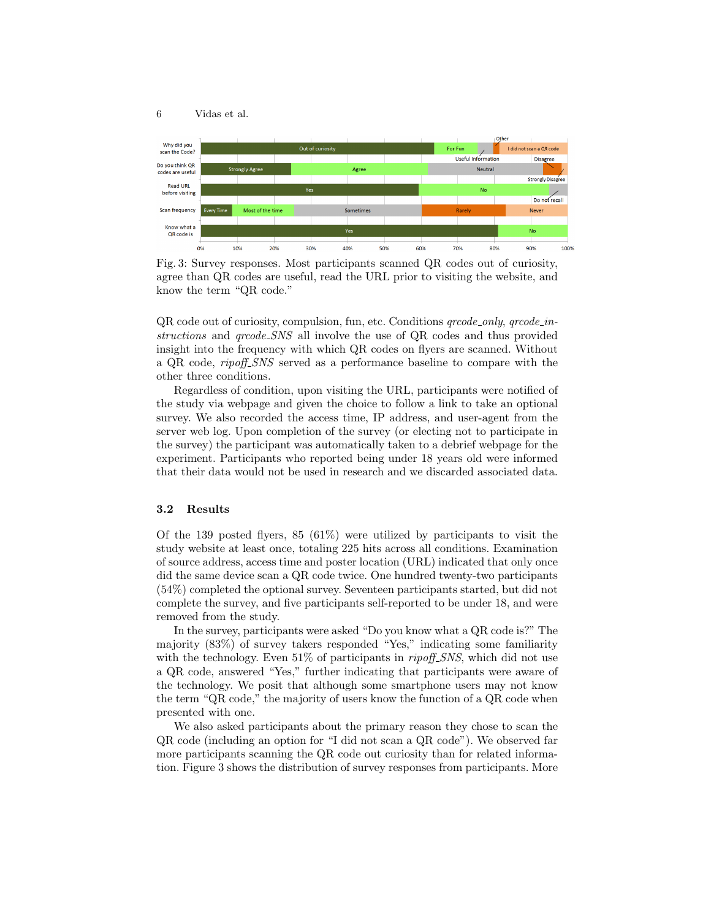

Fig. 3: Survey responses. Most participants scanned QR codes out of curiosity, agree than QR codes are useful, read the URL prior to visiting the website, and know the term "QR code."

 $QR \text{ code out of curiosity, compulsion, fun, etc. Conditions } *qrode-only, qrode_in*$ structions and qrcode SNS all involve the use of QR codes and thus provided insight into the frequency with which QR codes on flyers are scanned. Without a QR code, *ripoff\_SNS* served as a performance baseline to compare with the other three conditions.

Regardless of condition, upon visiting the URL, participants were notified of the study via webpage and given the choice to follow a link to take an optional survey. We also recorded the access time, IP address, and user-agent from the server web log. Upon completion of the survey (or electing not to participate in the survey) the participant was automatically taken to a debrief webpage for the experiment. Participants who reported being under 18 years old were informed that their data would not be used in research and we discarded associated data.

#### 3.2 Results

Of the 139 posted flyers,  $85$  ( $61\%$ ) were utilized by participants to visit the study website at least once, totaling 225 hits across all conditions. Examination of source address, access time and poster location (URL) indicated that only once did the same device scan a QR code twice. One hundred twenty-two participants (54%) completed the optional survey. Seventeen participants started, but did not complete the survey, and five participants self-reported to be under 18, and were removed from the study.

In the survey, participants were asked "Do you know what a QR code is?" The majority (83%) of survey takers responded "Yes," indicating some familiarity with the technology. Even  $51\%$  of participants in *ripoff\_SNS*, which did not use a QR code, answered "Yes," further indicating that participants were aware of the technology. We posit that although some smartphone users may not know the term "QR code," the majority of users know the function of a QR code when presented with one.

We also asked participants about the primary reason they chose to scan the QR code (including an option for "I did not scan a QR code"). We observed far more participants scanning the QR code out curiosity than for related information. Figure 3 shows the distribution of survey responses from participants. More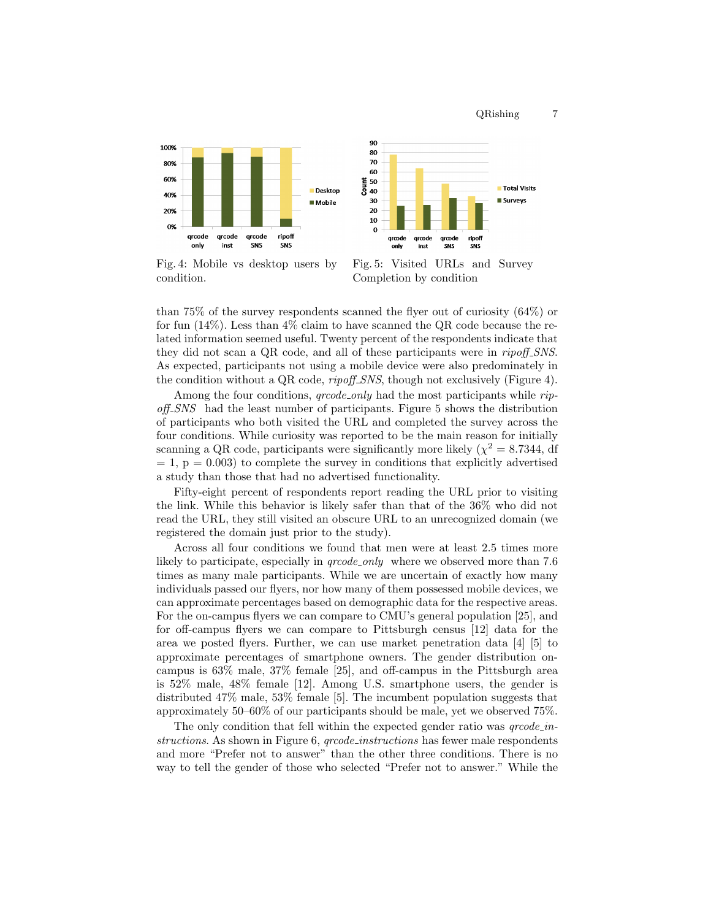



Fig. 4: Mobile vs desktop users by condition.

Fig. 5: Visited URLs and Survey Completion by condition

than 75% of the survey respondents scanned the flyer out of curiosity  $(64%)$  or for fun (14%). Less than 4% claim to have scanned the QR code because the related information seemed useful. Twenty percent of the respondents indicate that they did not scan a QR code, and all of these participants were in *ripoff\_SNS*. As expected, participants not using a mobile device were also predominately in the condition without a QR code, *ripoff\_SNS*, though not exclusively (Figure 4).

Among the four conditions, *groode\_only* had the most participants while *rip*off\_SNS had the least number of participants. Figure 5 shows the distribution of participants who both visited the URL and completed the survey across the four conditions. While curiosity was reported to be the main reason for initially scanning a QR code, participants were significantly more likely  $(\chi^2 = 8.7344, df)$  $= 1, p = 0.003$  to complete the survey in conditions that explicitly advertised a study than those that had no advertised functionality.

Fifty-eight percent of respondents report reading the URL prior to visiting the link. While this behavior is likely safer than that of the 36% who did not read the URL, they still visited an obscure URL to an unrecognized domain (we registered the domain just prior to the study).

Across all four conditions we found that men were at least 2.5 times more likely to participate, especially in *groode\_only* where we observed more than 7.6 times as many male participants. While we are uncertain of exactly how many individuals passed our flyers, nor how many of them possessed mobile devices, we can approximate percentages based on demographic data for the respective areas. For the on-campus flyers we can compare to CMU's general population [25], and for off-campus flyers we can compare to Pittsburgh census [12] data for the area we posted flyers. Further, we can use market penetration data [4] [5] to approximate percentages of smartphone owners. The gender distribution oncampus is 63% male, 37% female [25], and off-campus in the Pittsburgh area is 52% male, 48% female [12]. Among U.S. smartphone users, the gender is distributed 47% male, 53% female [5]. The incumbent population suggests that approximately 50–60% of our participants should be male, yet we observed 75%.

The only condition that fell within the expected gender ratio was *groode in*structions. As shown in Figure 6, *qrcode\_instructions* has fewer male respondents and more "Prefer not to answer" than the other three conditions. There is no way to tell the gender of those who selected "Prefer not to answer." While the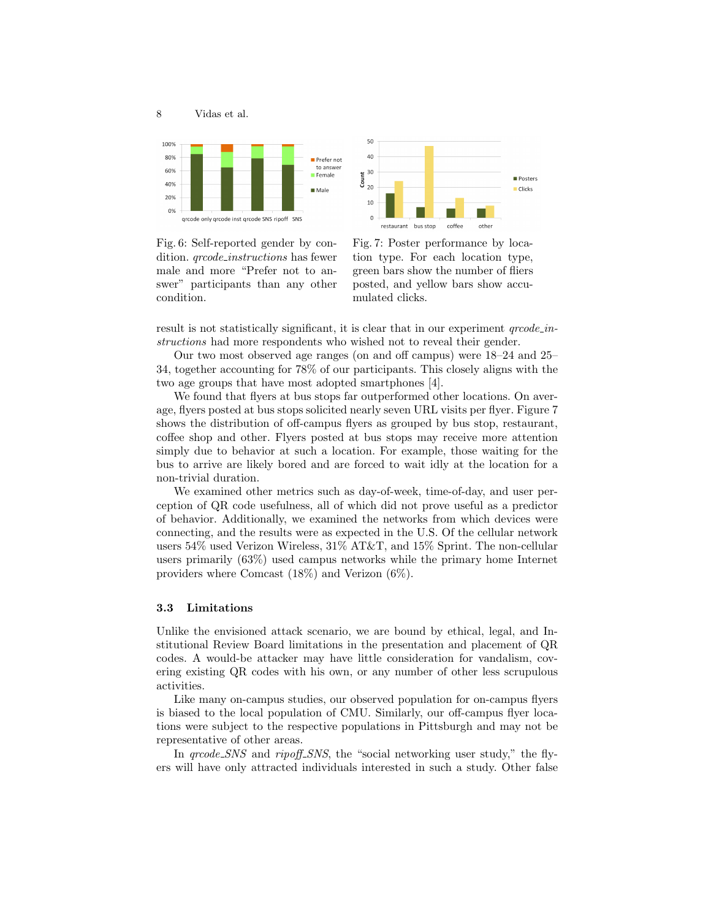

Fig. 6: Self-reported gender by condition. *grcode\_instructions* has fewer male and more "Prefer not to answer" participants than any other condition.



Fig. 7: Poster performance by location type. For each location type, green bars show the number of fliers posted, and yellow bars show accumulated clicks.

result is not statistically significant, it is clear that in our experiment  $q\text{rode}_i$ . structions had more respondents who wished not to reveal their gender.

Our two most observed age ranges (on and off campus) were 18–24 and 25– 34, together accounting for 78% of our participants. This closely aligns with the two age groups that have most adopted smartphones [4].

We found that flyers at bus stops far outperformed other locations. On average, flyers posted at bus stops solicited nearly seven URL visits per flyer. Figure 7 shows the distribution of off-campus flyers as grouped by bus stop, restaurant, coffee shop and other. Flyers posted at bus stops may receive more attention simply due to behavior at such a location. For example, those waiting for the bus to arrive are likely bored and are forced to wait idly at the location for a non-trivial duration.

We examined other metrics such as day-of-week, time-of-day, and user perception of QR code usefulness, all of which did not prove useful as a predictor of behavior. Additionally, we examined the networks from which devices were connecting, and the results were as expected in the U.S. Of the cellular network users 54% used Verizon Wireless, 31% AT&T, and 15% Sprint. The non-cellular users primarily (63%) used campus networks while the primary home Internet providers where Comcast (18%) and Verizon (6%).

#### 3.3 Limitations

Unlike the envisioned attack scenario, we are bound by ethical, legal, and Institutional Review Board limitations in the presentation and placement of QR codes. A would-be attacker may have little consideration for vandalism, covering existing QR codes with his own, or any number of other less scrupulous activities.

Like many on-campus studies, our observed population for on-campus flyers is biased to the local population of CMU. Similarly, our off-campus flyer locations were subject to the respective populations in Pittsburgh and may not be representative of other areas.

In *grcode\_SNS* and *ripoff\_SNS*, the "social networking user study," the flyers will have only attracted individuals interested in such a study. Other false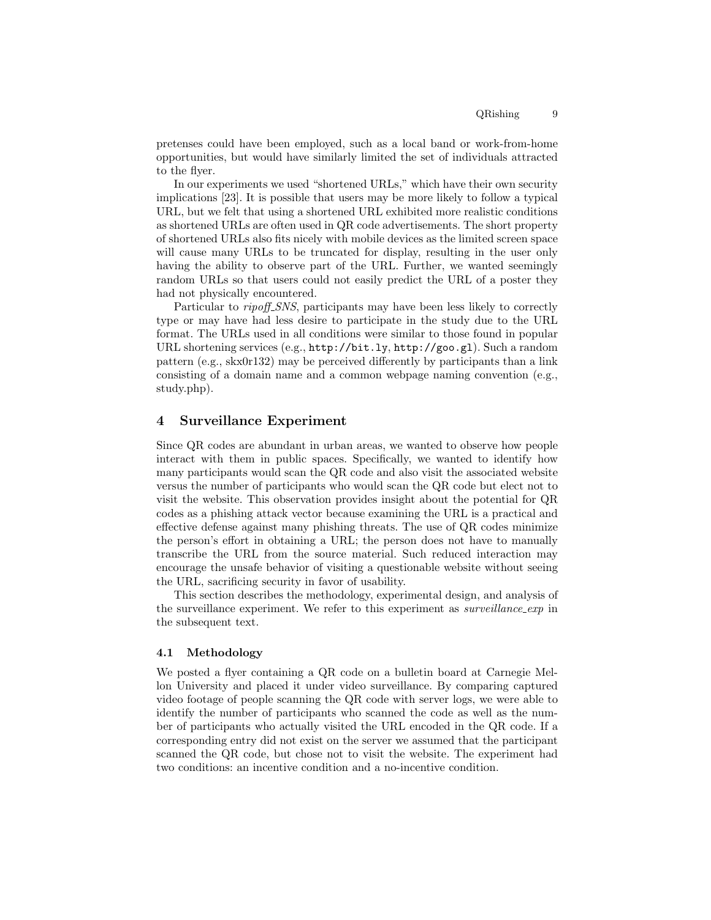pretenses could have been employed, such as a local band or work-from-home opportunities, but would have similarly limited the set of individuals attracted to the flyer.

In our experiments we used "shortened URLs," which have their own security implications [23]. It is possible that users may be more likely to follow a typical URL, but we felt that using a shortened URL exhibited more realistic conditions as shortened URLs are often used in QR code advertisements. The short property of shortened URLs also fits nicely with mobile devices as the limited screen space will cause many URLs to be truncated for display, resulting in the user only having the ability to observe part of the URL. Further, we wanted seemingly random URLs so that users could not easily predict the URL of a poster they had not physically encountered.

Particular to *ripoff\_SNS*, participants may have been less likely to correctly type or may have had less desire to participate in the study due to the URL format. The URLs used in all conditions were similar to those found in popular URL shortening services (e.g., http://bit.ly, http://goo.gl). Such a random pattern (e.g., skx0r132) may be perceived differently by participants than a link consisting of a domain name and a common webpage naming convention (e.g., study.php).

### 4 Surveillance Experiment

Since QR codes are abundant in urban areas, we wanted to observe how people interact with them in public spaces. Specifically, we wanted to identify how many participants would scan the QR code and also visit the associated website versus the number of participants who would scan the QR code but elect not to visit the website. This observation provides insight about the potential for QR codes as a phishing attack vector because examining the URL is a practical and effective defense against many phishing threats. The use of QR codes minimize the person's effort in obtaining a URL; the person does not have to manually transcribe the URL from the source material. Such reduced interaction may encourage the unsafe behavior of visiting a questionable website without seeing the URL, sacrificing security in favor of usability.

This section describes the methodology, experimental design, and analysis of the surveillance experiment. We refer to this experiment as *surveillance exp* in the subsequent text.

#### 4.1 Methodology

We posted a flyer containing a QR code on a bulletin board at Carnegie Mellon University and placed it under video surveillance. By comparing captured video footage of people scanning the QR code with server logs, we were able to identify the number of participants who scanned the code as well as the number of participants who actually visited the URL encoded in the QR code. If a corresponding entry did not exist on the server we assumed that the participant scanned the QR code, but chose not to visit the website. The experiment had two conditions: an incentive condition and a no-incentive condition.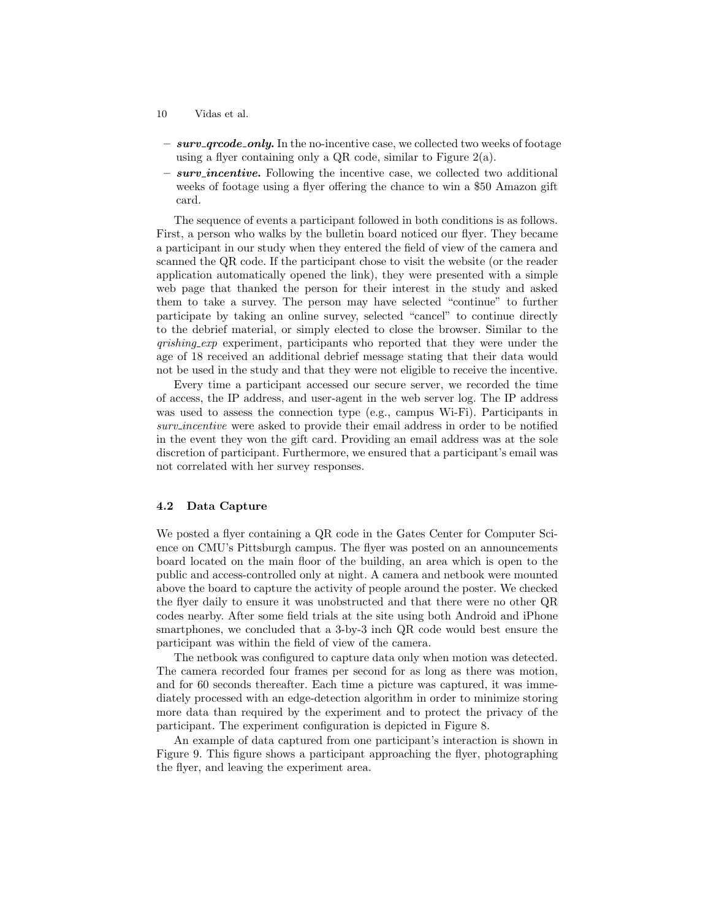- 10 Vidas et al.
	- $-$  surv\_grcode\_only. In the no-incentive case, we collected two weeks of footage using a flyer containing only a QR code, similar to Figure 2(a).
	- $-$  surv\_incentive. Following the incentive case, we collected two additional weeks of footage using a flyer offering the chance to win a \$50 Amazon gift card.

The sequence of events a participant followed in both conditions is as follows. First, a person who walks by the bulletin board noticed our flyer. They became a participant in our study when they entered the field of view of the camera and scanned the QR code. If the participant chose to visit the website (or the reader application automatically opened the link), they were presented with a simple web page that thanked the person for their interest in the study and asked them to take a survey. The person may have selected "continue" to further participate by taking an online survey, selected "cancel" to continue directly to the debrief material, or simply elected to close the browser. Similar to the qrishing exp experiment, participants who reported that they were under the age of 18 received an additional debrief message stating that their data would not be used in the study and that they were not eligible to receive the incentive.

Every time a participant accessed our secure server, we recorded the time of access, the IP address, and user-agent in the web server log. The IP address was used to assess the connection type (e.g., campus Wi-Fi). Participants in surv incentive were asked to provide their email address in order to be notified in the event they won the gift card. Providing an email address was at the sole discretion of participant. Furthermore, we ensured that a participant's email was not correlated with her survey responses.

#### 4.2 Data Capture

We posted a flyer containing a QR code in the Gates Center for Computer Science on CMU's Pittsburgh campus. The flyer was posted on an announcements board located on the main floor of the building, an area which is open to the public and access-controlled only at night. A camera and netbook were mounted above the board to capture the activity of people around the poster. We checked the flyer daily to ensure it was unobstructed and that there were no other QR codes nearby. After some field trials at the site using both Android and iPhone smartphones, we concluded that a 3-by-3 inch QR code would best ensure the participant was within the field of view of the camera.

The netbook was configured to capture data only when motion was detected. The camera recorded four frames per second for as long as there was motion, and for 60 seconds thereafter. Each time a picture was captured, it was immediately processed with an edge-detection algorithm in order to minimize storing more data than required by the experiment and to protect the privacy of the participant. The experiment configuration is depicted in Figure 8.

An example of data captured from one participant's interaction is shown in Figure 9. This figure shows a participant approaching the flyer, photographing the flyer, and leaving the experiment area.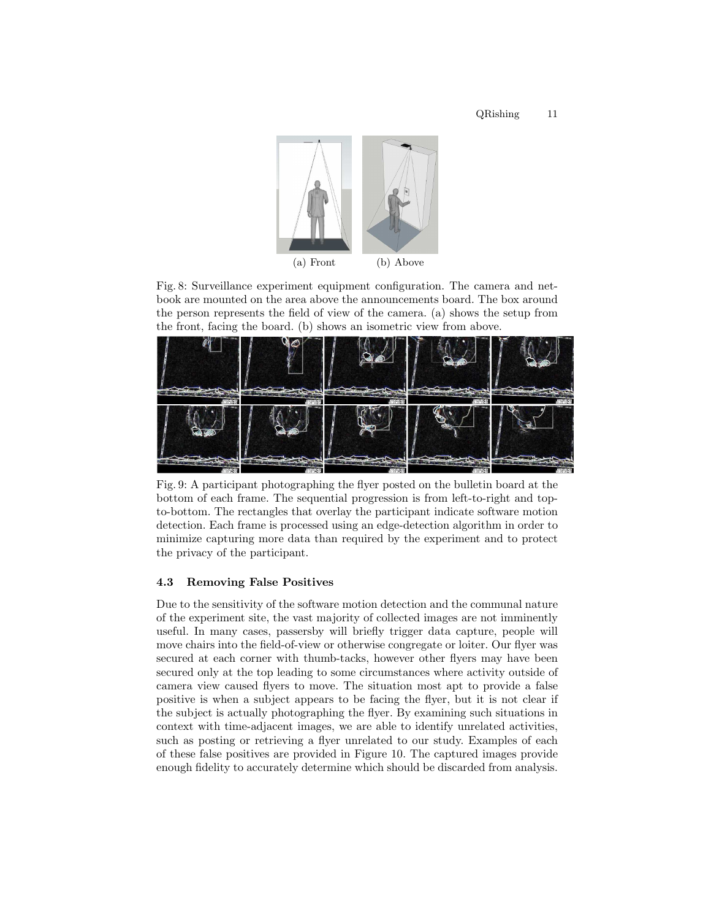

Fig. 8: Surveillance experiment equipment configuration. The camera and netbook are mounted on the area above the announcements board. The box around the person represents the field of view of the camera. (a) shows the setup from the front, facing the board. (b) shows an isometric view from above.



Fig. 9: A participant photographing the flyer posted on the bulletin board at the bottom of each frame. The sequential progression is from left-to-right and topto-bottom. The rectangles that overlay the participant indicate software motion detection. Each frame is processed using an edge-detection algorithm in order to minimize capturing more data than required by the experiment and to protect the privacy of the participant.

#### 4.3 Removing False Positives

Due to the sensitivity of the software motion detection and the communal nature of the experiment site, the vast majority of collected images are not imminently useful. In many cases, passersby will briefly trigger data capture, people will move chairs into the field-of-view or otherwise congregate or loiter. Our flyer was secured at each corner with thumb-tacks, however other flyers may have been secured only at the top leading to some circumstances where activity outside of camera view caused flyers to move. The situation most apt to provide a false positive is when a subject appears to be facing the flyer, but it is not clear if the subject is actually photographing the flyer. By examining such situations in context with time-adjacent images, we are able to identify unrelated activities, such as posting or retrieving a flyer unrelated to our study. Examples of each of these false positives are provided in Figure 10. The captured images provide enough fidelity to accurately determine which should be discarded from analysis.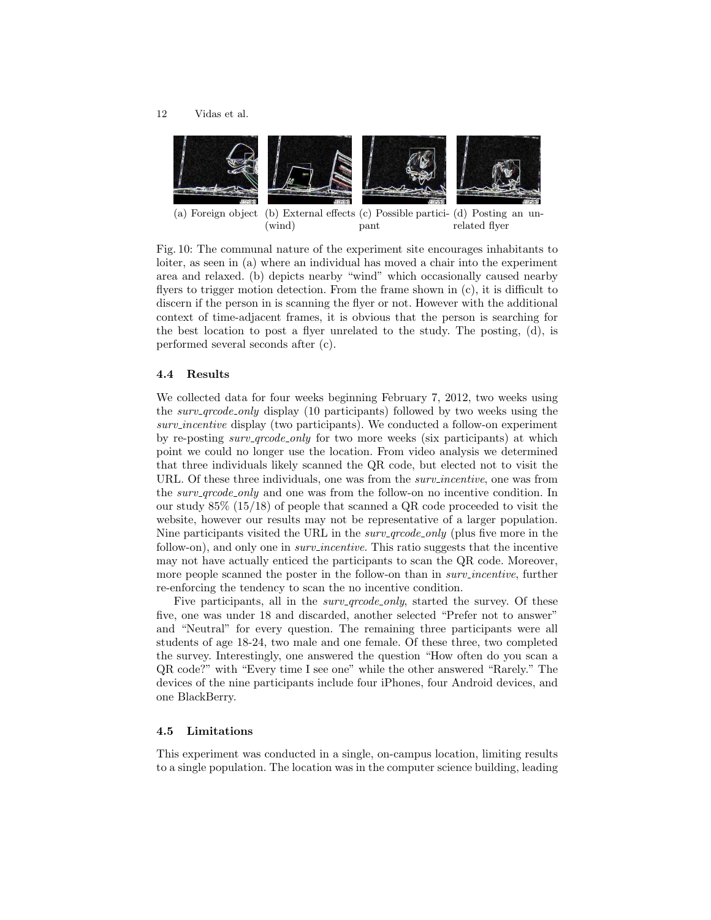

Fig. 10: The communal nature of the experiment site encourages inhabitants to loiter, as seen in (a) where an individual has moved a chair into the experiment area and relaxed. (b) depicts nearby "wind" which occasionally caused nearby flyers to trigger motion detection. From the frame shown in (c), it is difficult to discern if the person in is scanning the flyer or not. However with the additional context of time-adjacent frames, it is obvious that the person is searching for the best location to post a flyer unrelated to the study. The posting, (d), is performed several seconds after (c).

#### 4.4 Results

We collected data for four weeks beginning February 7, 2012, two weeks using the surv qrcode only display (10 participants) followed by two weeks using the surv\_incentive display (two participants). We conducted a follow-on experiment by re-posting surv-grcode-only for two more weeks (six participants) at which point we could no longer use the location. From video analysis we determined that three individuals likely scanned the QR code, but elected not to visit the URL. Of these three individuals, one was from the *surv\_incentive*, one was from the surv-groode-only and one was from the follow-on no incentive condition. In our study 85% (15/18) of people that scanned a QR code proceeded to visit the website, however our results may not be representative of a larger population. Nine participants visited the URL in the *surv\_qrcode\_only* (plus five more in the follow-on), and only one in *surv-incentive*. This ratio suggests that the incentive may not have actually enticed the participants to scan the QR code. Moreover, more people scanned the poster in the follow-on than in *surv\_incentive*, further re-enforcing the tendency to scan the no incentive condition.

Five participants, all in the  $surv\_qrcode\_only$ , started the survey. Of these five, one was under 18 and discarded, another selected "Prefer not to answer" and "Neutral" for every question. The remaining three participants were all students of age 18-24, two male and one female. Of these three, two completed the survey. Interestingly, one answered the question "How often do you scan a QR code?" with "Every time I see one" while the other answered "Rarely." The devices of the nine participants include four iPhones, four Android devices, and one BlackBerry.

#### 4.5 Limitations

This experiment was conducted in a single, on-campus location, limiting results to a single population. The location was in the computer science building, leading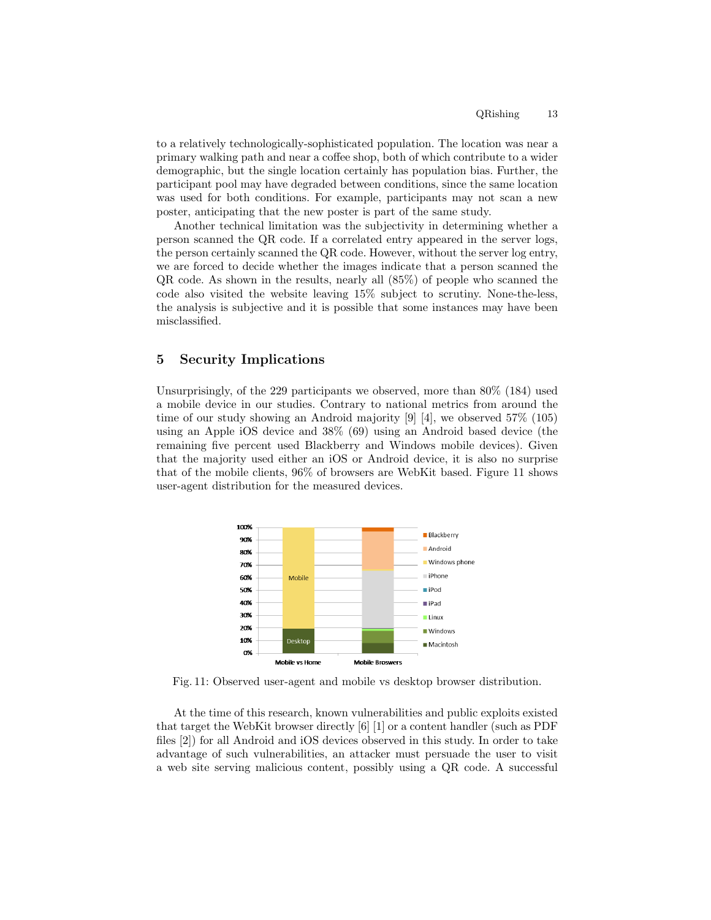to a relatively technologically-sophisticated population. The location was near a primary walking path and near a coffee shop, both of which contribute to a wider demographic, but the single location certainly has population bias. Further, the participant pool may have degraded between conditions, since the same location was used for both conditions. For example, participants may not scan a new poster, anticipating that the new poster is part of the same study.

Another technical limitation was the subjectivity in determining whether a person scanned the QR code. If a correlated entry appeared in the server logs, the person certainly scanned the QR code. However, without the server log entry, we are forced to decide whether the images indicate that a person scanned the QR code. As shown in the results, nearly all (85%) of people who scanned the code also visited the website leaving 15% subject to scrutiny. None-the-less, the analysis is subjective and it is possible that some instances may have been misclassified.

# 5 Security Implications

Unsurprisingly, of the 229 participants we observed, more than 80% (184) used a mobile device in our studies. Contrary to national metrics from around the time of our study showing an Android majority [9] [4], we observed 57% (105) using an Apple iOS device and 38% (69) using an Android based device (the remaining five percent used Blackberry and Windows mobile devices). Given that the majority used either an iOS or Android device, it is also no surprise that of the mobile clients, 96% of browsers are WebKit based. Figure 11 shows user-agent distribution for the measured devices.



Fig. 11: Observed user-agent and mobile vs desktop browser distribution.

At the time of this research, known vulnerabilities and public exploits existed that target the WebKit browser directly [6] [1] or a content handler (such as PDF files [2]) for all Android and iOS devices observed in this study. In order to take advantage of such vulnerabilities, an attacker must persuade the user to visit a web site serving malicious content, possibly using a QR code. A successful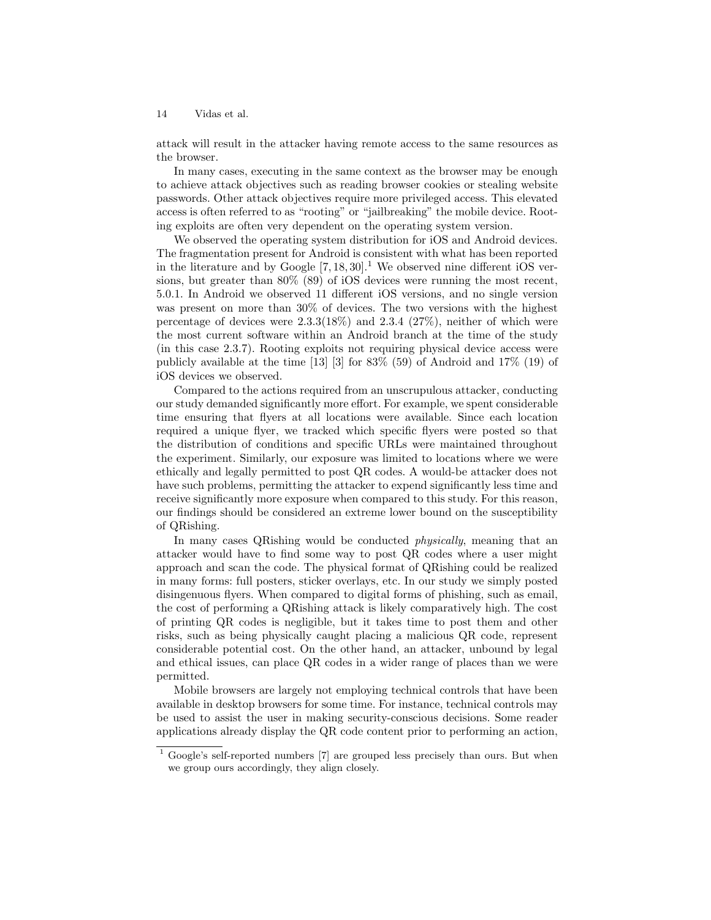attack will result in the attacker having remote access to the same resources as the browser.

In many cases, executing in the same context as the browser may be enough to achieve attack objectives such as reading browser cookies or stealing website passwords. Other attack objectives require more privileged access. This elevated access is often referred to as "rooting" or "jailbreaking" the mobile device. Rooting exploits are often very dependent on the operating system version.

We observed the operating system distribution for iOS and Android devices. The fragmentation present for Android is consistent with what has been reported in the literature and by Google  $[7, 18, 30]$ .<sup>1</sup> We observed nine different iOS versions, but greater than 80% (89) of iOS devices were running the most recent, 5.0.1. In Android we observed 11 different iOS versions, and no single version was present on more than 30% of devices. The two versions with the highest percentage of devices were  $2.3.3(18\%)$  and  $2.3.4(27\%)$ , neither of which were the most current software within an Android branch at the time of the study (in this case 2.3.7). Rooting exploits not requiring physical device access were publicly available at the time [13] [3] for 83% (59) of Android and 17% (19) of iOS devices we observed.

Compared to the actions required from an unscrupulous attacker, conducting our study demanded significantly more effort. For example, we spent considerable time ensuring that flyers at all locations were available. Since each location required a unique flyer, we tracked which specific flyers were posted so that the distribution of conditions and specific URLs were maintained throughout the experiment. Similarly, our exposure was limited to locations where we were ethically and legally permitted to post QR codes. A would-be attacker does not have such problems, permitting the attacker to expend significantly less time and receive significantly more exposure when compared to this study. For this reason, our findings should be considered an extreme lower bound on the susceptibility of QRishing.

In many cases QRishing would be conducted physically, meaning that an attacker would have to find some way to post QR codes where a user might approach and scan the code. The physical format of QRishing could be realized in many forms: full posters, sticker overlays, etc. In our study we simply posted disingenuous flyers. When compared to digital forms of phishing, such as email, the cost of performing a QRishing attack is likely comparatively high. The cost of printing QR codes is negligible, but it takes time to post them and other risks, such as being physically caught placing a malicious QR code, represent considerable potential cost. On the other hand, an attacker, unbound by legal and ethical issues, can place QR codes in a wider range of places than we were permitted.

Mobile browsers are largely not employing technical controls that have been available in desktop browsers for some time. For instance, technical controls may be used to assist the user in making security-conscious decisions. Some reader applications already display the QR code content prior to performing an action,

<sup>&</sup>lt;sup>1</sup> Google's self-reported numbers [7] are grouped less precisely than ours. But when we group ours accordingly, they align closely.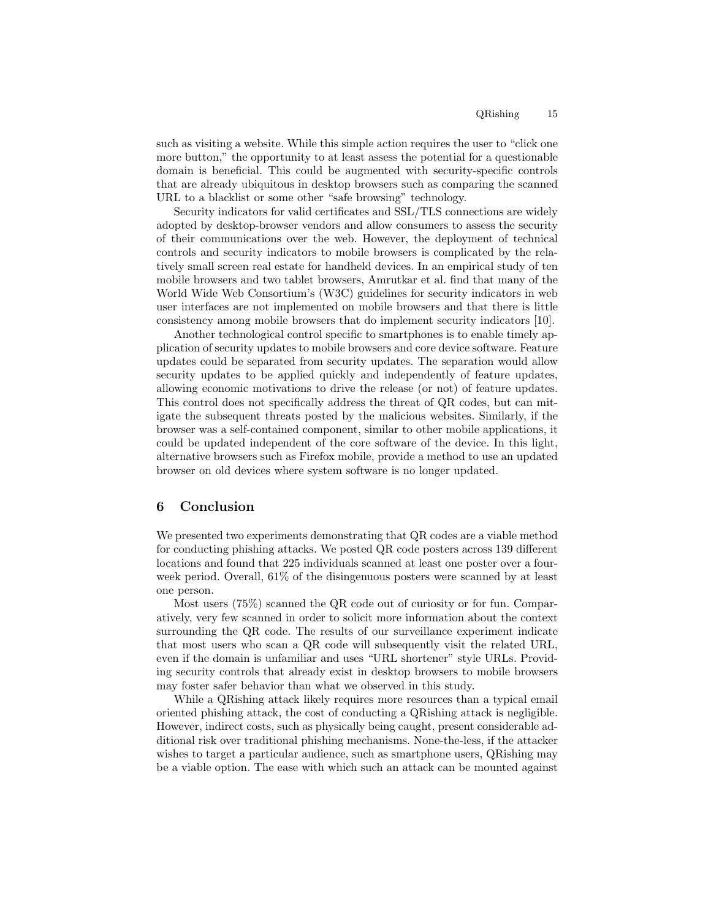such as visiting a website. While this simple action requires the user to "click one more button," the opportunity to at least assess the potential for a questionable domain is beneficial. This could be augmented with security-specific controls that are already ubiquitous in desktop browsers such as comparing the scanned URL to a blacklist or some other "safe browsing" technology.

Security indicators for valid certificates and SSL/TLS connections are widely adopted by desktop-browser vendors and allow consumers to assess the security of their communications over the web. However, the deployment of technical controls and security indicators to mobile browsers is complicated by the relatively small screen real estate for handheld devices. In an empirical study of ten mobile browsers and two tablet browsers, Amrutkar et al. find that many of the World Wide Web Consortium's (W3C) guidelines for security indicators in web user interfaces are not implemented on mobile browsers and that there is little consistency among mobile browsers that do implement security indicators [10].

Another technological control specific to smartphones is to enable timely application of security updates to mobile browsers and core device software. Feature updates could be separated from security updates. The separation would allow security updates to be applied quickly and independently of feature updates, allowing economic motivations to drive the release (or not) of feature updates. This control does not specifically address the threat of QR codes, but can mitigate the subsequent threats posted by the malicious websites. Similarly, if the browser was a self-contained component, similar to other mobile applications, it could be updated independent of the core software of the device. In this light, alternative browsers such as Firefox mobile, provide a method to use an updated browser on old devices where system software is no longer updated.

#### 6 Conclusion

We presented two experiments demonstrating that QR codes are a viable method for conducting phishing attacks. We posted QR code posters across 139 different locations and found that 225 individuals scanned at least one poster over a fourweek period. Overall, 61% of the disingenuous posters were scanned by at least one person.

Most users (75%) scanned the QR code out of curiosity or for fun. Comparatively, very few scanned in order to solicit more information about the context surrounding the QR code. The results of our surveillance experiment indicate that most users who scan a QR code will subsequently visit the related URL, even if the domain is unfamiliar and uses "URL shortener" style URLs. Providing security controls that already exist in desktop browsers to mobile browsers may foster safer behavior than what we observed in this study.

While a QRishing attack likely requires more resources than a typical email oriented phishing attack, the cost of conducting a QRishing attack is negligible. However, indirect costs, such as physically being caught, present considerable additional risk over traditional phishing mechanisms. None-the-less, if the attacker wishes to target a particular audience, such as smartphone users, QRishing may be a viable option. The ease with which such an attack can be mounted against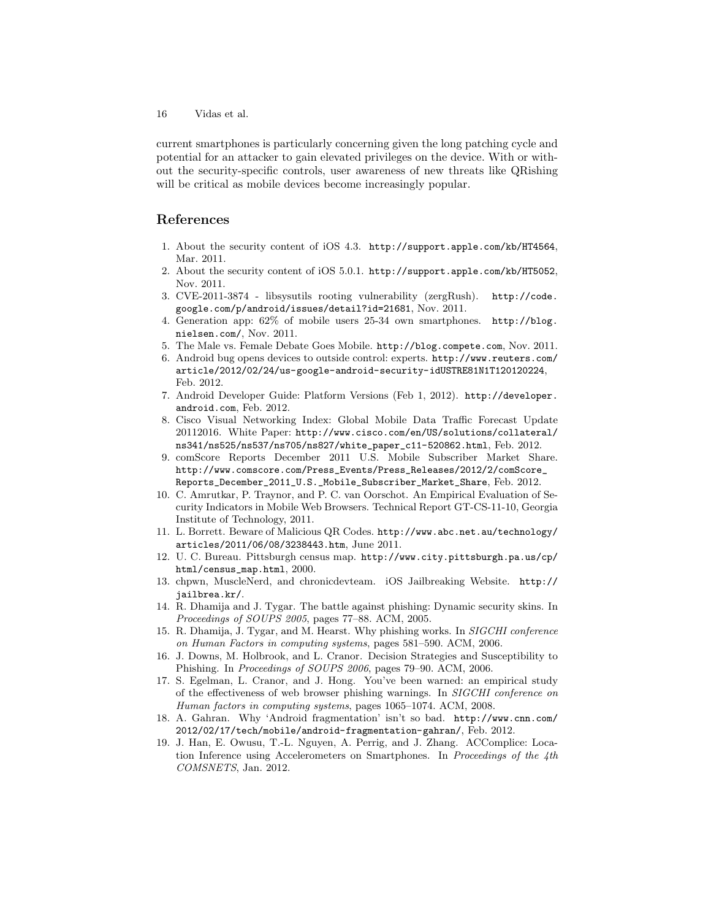current smartphones is particularly concerning given the long patching cycle and potential for an attacker to gain elevated privileges on the device. With or without the security-specific controls, user awareness of new threats like QRishing will be critical as mobile devices become increasingly popular.

#### References

- 1. About the security content of iOS 4.3. http://support.apple.com/kb/HT4564, Mar. 2011.
- 2. About the security content of iOS 5.0.1. http://support.apple.com/kb/HT5052, Nov. 2011.
- 3. CVE-2011-3874 libsysutils rooting vulnerability (zergRush). http://code. google.com/p/android/issues/detail?id=21681, Nov. 2011.
- 4. Generation app: 62% of mobile users 25-34 own smartphones. http://blog. nielsen.com/, Nov. 2011.
- 5. The Male vs. Female Debate Goes Mobile. http://blog.compete.com, Nov. 2011.
- 6. Android bug opens devices to outside control: experts. http://www.reuters.com/ article/2012/02/24/us-google-android-security-idUSTRE81N1T120120224, Feb. 2012.
- 7. Android Developer Guide: Platform Versions (Feb 1, 2012). http://developer. android.com, Feb. 2012.
- 8. Cisco Visual Networking Index: Global Mobile Data Traffic Forecast Update 20112016. White Paper: http://www.cisco.com/en/US/solutions/collateral/ ns341/ns525/ns537/ns705/ns827/white\_paper\_c11-520862.html, Feb. 2012.
- 9. comScore Reports December 2011 U.S. Mobile Subscriber Market Share. http://www.comscore.com/Press\_Events/Press\_Releases/2012/2/comScore\_ Reports\_December\_2011\_U.S.\_Mobile\_Subscriber\_Market\_Share, Feb. 2012.
- 10. C. Amrutkar, P. Traynor, and P. C. van Oorschot. An Empirical Evaluation of Security Indicators in Mobile Web Browsers. Technical Report GT-CS-11-10, Georgia Institute of Technology, 2011.
- 11. L. Borrett. Beware of Malicious QR Codes. http://www.abc.net.au/technology/ articles/2011/06/08/3238443.htm, June 2011.
- 12. U. C. Bureau. Pittsburgh census map. http://www.city.pittsburgh.pa.us/cp/ html/census\_map.html, 2000.
- 13. chpwn, MuscleNerd, and chronicdevteam. iOS Jailbreaking Website. http:// jailbrea.kr/.
- 14. R. Dhamija and J. Tygar. The battle against phishing: Dynamic security skins. In Proceedings of SOUPS 2005, pages 77–88. ACM, 2005.
- 15. R. Dhamija, J. Tygar, and M. Hearst. Why phishing works. In SIGCHI conference on Human Factors in computing systems, pages 581–590. ACM, 2006.
- 16. J. Downs, M. Holbrook, and L. Cranor. Decision Strategies and Susceptibility to Phishing. In Proceedings of SOUPS 2006, pages 79–90. ACM, 2006.
- 17. S. Egelman, L. Cranor, and J. Hong. You've been warned: an empirical study of the effectiveness of web browser phishing warnings. In SIGCHI conference on Human factors in computing systems, pages 1065–1074. ACM, 2008.
- 18. A. Gahran. Why 'Android fragmentation' isn't so bad. http://www.cnn.com/ 2012/02/17/tech/mobile/android-fragmentation-gahran/, Feb. 2012.
- 19. J. Han, E. Owusu, T.-L. Nguyen, A. Perrig, and J. Zhang. ACComplice: Location Inference using Accelerometers on Smartphones. In Proceedings of the 4th COMSNETS, Jan. 2012.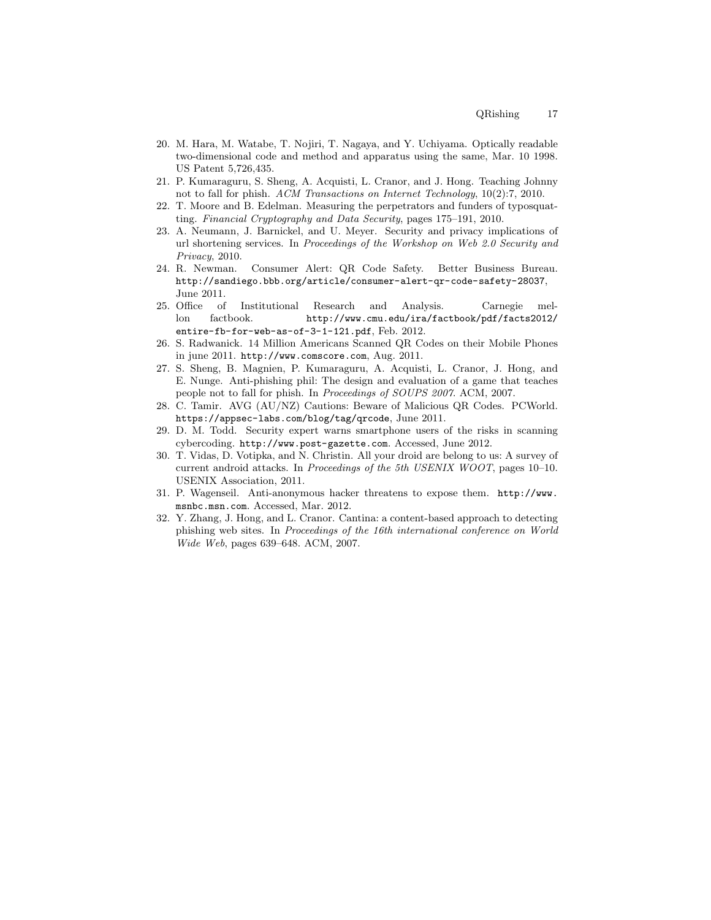- 20. M. Hara, M. Watabe, T. Nojiri, T. Nagaya, and Y. Uchiyama. Optically readable two-dimensional code and method and apparatus using the same, Mar. 10 1998. US Patent 5,726,435.
- 21. P. Kumaraguru, S. Sheng, A. Acquisti, L. Cranor, and J. Hong. Teaching Johnny not to fall for phish. ACM Transactions on Internet Technology, 10(2):7, 2010.
- 22. T. Moore and B. Edelman. Measuring the perpetrators and funders of typosquatting. Financial Cryptography and Data Security, pages 175–191, 2010.
- 23. A. Neumann, J. Barnickel, and U. Meyer. Security and privacy implications of url shortening services. In Proceedings of the Workshop on Web 2.0 Security and Privacy, 2010.
- 24. R. Newman. Consumer Alert: QR Code Safety. Better Business Bureau. http://sandiego.bbb.org/article/consumer-alert-qr-code-safety-28037, June 2011.
- 25. Office of Institutional Research and Analysis. Carnegie mellon factbook. http://www.cmu.edu/ira/factbook/pdf/facts2012/ entire-fb-for-web-as-of-3-1-121.pdf, Feb. 2012.
- 26. S. Radwanick. 14 Million Americans Scanned QR Codes on their Mobile Phones in june 2011. http://www.comscore.com, Aug. 2011.
- 27. S. Sheng, B. Magnien, P. Kumaraguru, A. Acquisti, L. Cranor, J. Hong, and E. Nunge. Anti-phishing phil: The design and evaluation of a game that teaches people not to fall for phish. In Proceedings of SOUPS 2007. ACM, 2007.
- 28. C. Tamir. AVG (AU/NZ) Cautions: Beware of Malicious QR Codes. PCWorld. https://appsec-labs.com/blog/tag/qrcode, June 2011.
- 29. D. M. Todd. Security expert warns smartphone users of the risks in scanning cybercoding. http://www.post-gazette.com. Accessed, June 2012.
- 30. T. Vidas, D. Votipka, and N. Christin. All your droid are belong to us: A survey of current android attacks. In Proceedings of the 5th USENIX WOOT, pages 10–10. USENIX Association, 2011.
- 31. P. Wagenseil. Anti-anonymous hacker threatens to expose them. http://www. msnbc.msn.com. Accessed, Mar. 2012.
- 32. Y. Zhang, J. Hong, and L. Cranor. Cantina: a content-based approach to detecting phishing web sites. In Proceedings of the 16th international conference on World Wide Web, pages 639–648. ACM, 2007.